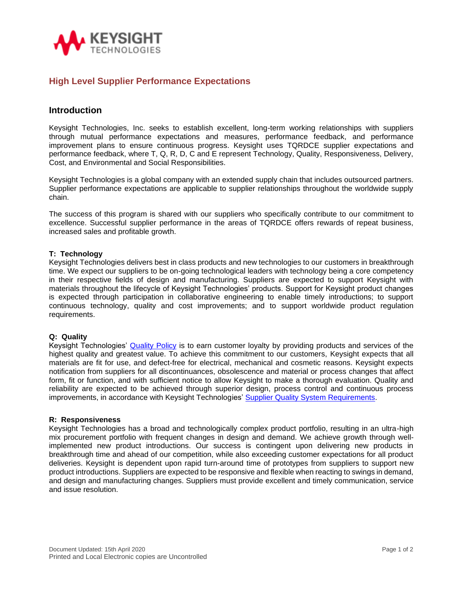

# **High Level Supplier Performance Expectations**

## **Introduction**

Keysight Technologies, Inc. seeks to establish excellent, long-term working relationships with suppliers through mutual performance expectations and measures, performance feedback, and performance improvement plans to ensure continuous progress. Keysight uses TQRDCE supplier expectations and performance feedback, where T, Q, R, D, C and E represent Technology, Quality, Responsiveness, Delivery, Cost, and Environmental and Social Responsibilities.

Keysight Technologies is a global company with an extended supply chain that includes outsourced partners. Supplier performance expectations are applicable to supplier relationships throughout the worldwide supply chain.

The success of this program is shared with our suppliers who specifically contribute to our commitment to excellence. Successful supplier performance in the areas of TQRDCE offers rewards of repeat business, increased sales and profitable growth.

### **T: Technology**

Keysight Technologies delivers best in class products and new technologies to our customers in breakthrough time. We expect our suppliers to be on-going technological leaders with technology being a core competency in their respective fields of design and manufacturing. Suppliers are expected to support Keysight with materials throughout the lifecycle of Keysight Technologies' products. Support for Keysight product changes is expected through participation in collaborative engineering to enable timely introductions; to support continuous technology, quality and cost improvements; and to support worldwide product regulation requirements.

#### **Q: Quality**

Keysight Technologies' [Quality Policy](https://about.keysight.com/en/quality/Keysight_Quality_Policy-English.pdf) is to earn customer loyalty by providing products and services of the highest quality and greatest value. To achieve this commitment to our customers, Keysight expects that all materials are fit for use, and defect-free for electrical, mechanical and cosmetic reasons. Keysight expects notification from suppliers for all discontinuances, obsolescence and material or process changes that affect form, fit or function, and with sufficient notice to allow Keysight to make a thorough evaluation. Quality and reliability are expected to be achieved through superior design, process control and continuous process improvements, in accordance with Keysight Technologies' [Supplier Quality System Requirements.](https://about.keysight.com/en/supplier/KeysightSupplierQualitySystemRequirements.pdf)

#### **R: Responsiveness**

Keysight Technologies has a broad and technologically complex product portfolio, resulting in an ultra-high mix procurement portfolio with frequent changes in design and demand. We achieve growth through wellimplemented new product introductions. Our success is contingent upon delivering new products in breakthrough time and ahead of our competition, while also exceeding customer expectations for all product deliveries. Keysight is dependent upon rapid turn-around time of prototypes from suppliers to support new product introductions. Suppliers are expected to be responsive and flexible when reacting to swings in demand, and design and manufacturing changes. Suppliers must provide excellent and timely communication, service and issue resolution.